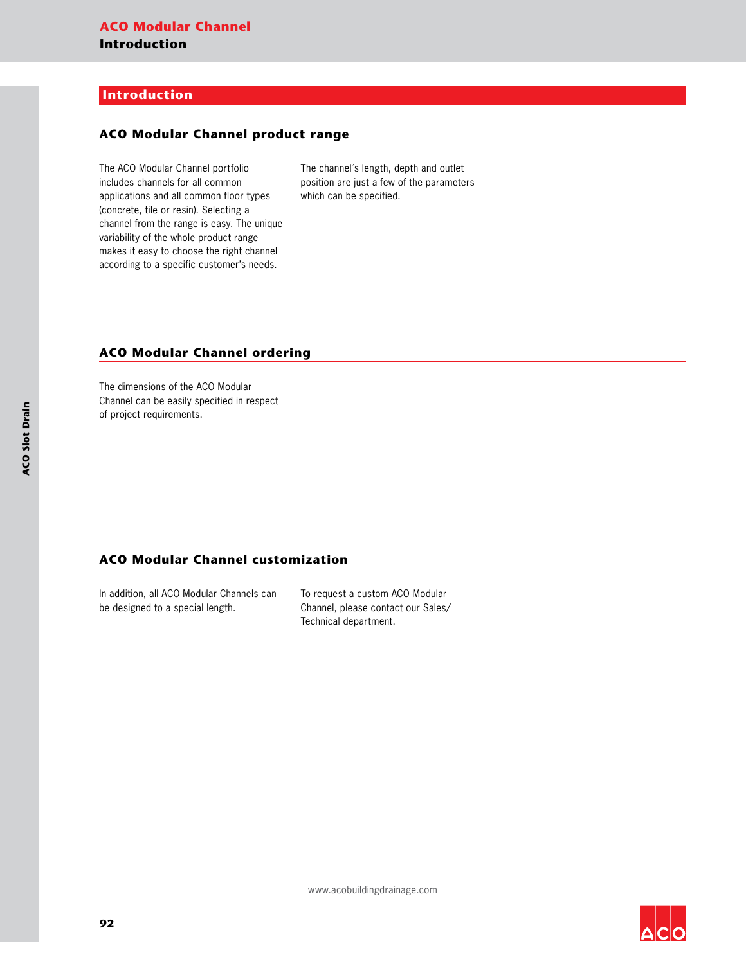## **Introduction**

#### **ACO Modular Channel product range**

The ACO Modular Channel portfolio includes channels for all common applications and all common floor types (concrete, tile or resin). Selecting a channel from the range is easy. The unique variability of the whole product range makes it easy to choose the right channel according to a specific customer's needs.

The channel´s length, depth and outlet position are just a few of the parameters which can be specified.

### **ACO Modular Channel ordering**

The dimensions of the ACO Modular Channel can be easily specified in respect of project requirements.

#### **ACO Modular Channel customization**

In addition, all ACO Modular Channels can be designed to a special length.

To request a custom ACO Modular Channel, please contact our Sales/ Technical department.

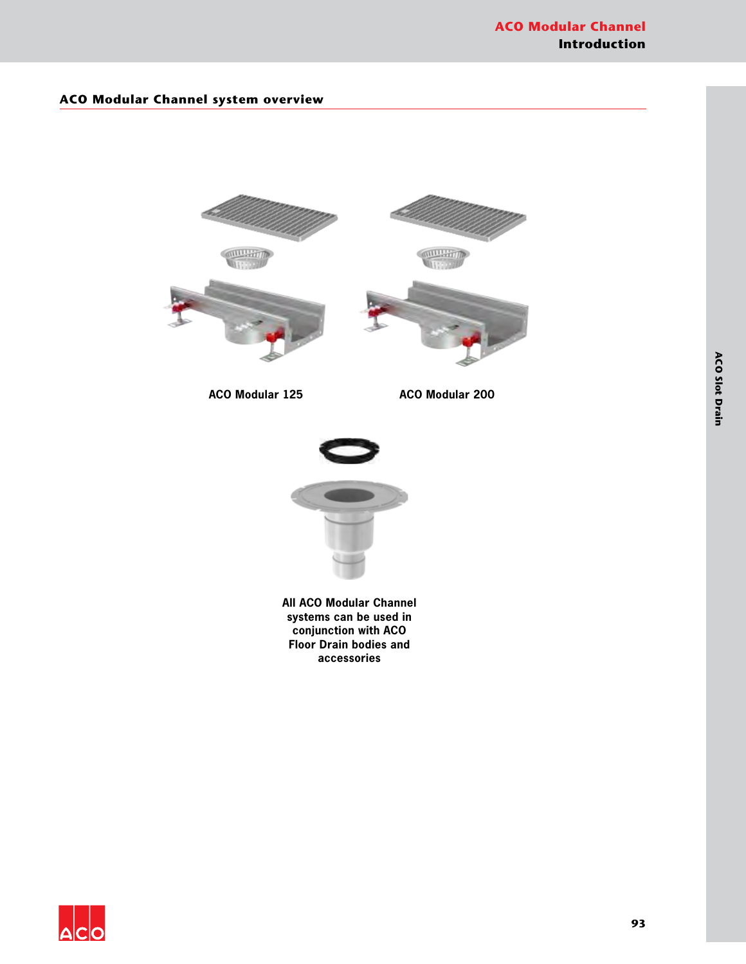## **ACO Modular Channel system overview**





**All ACO Modular Channel systems can be used in conjunction with ACO Floor Drain bodies and accessories**

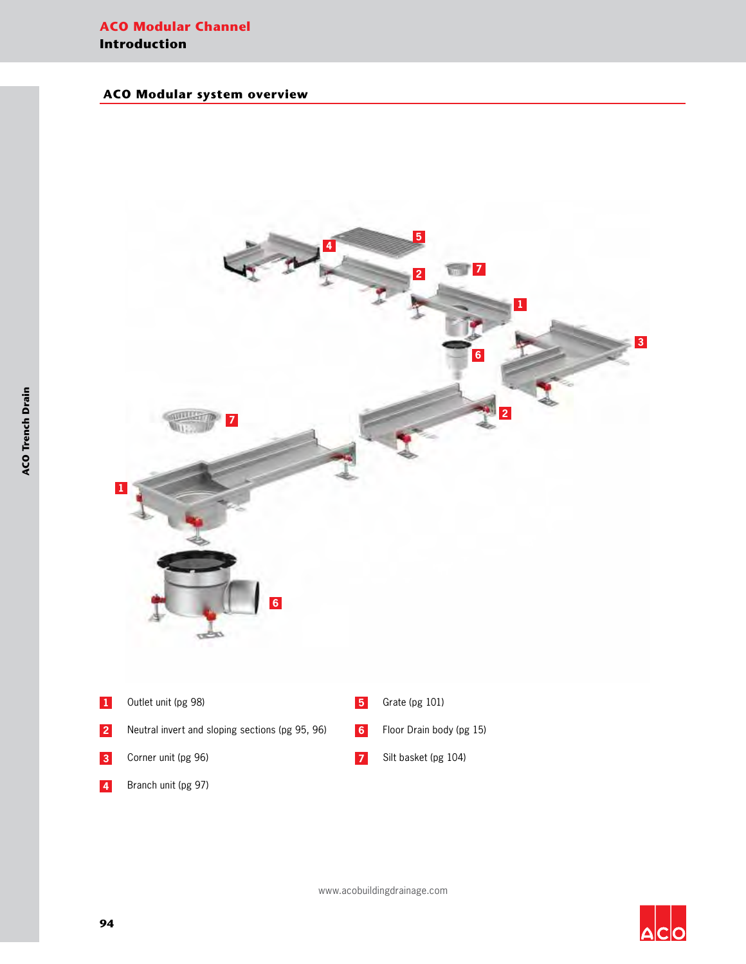## **ACO Modular Channel Introduction**

## **ACO Modular system overview**



 $\Delta$ C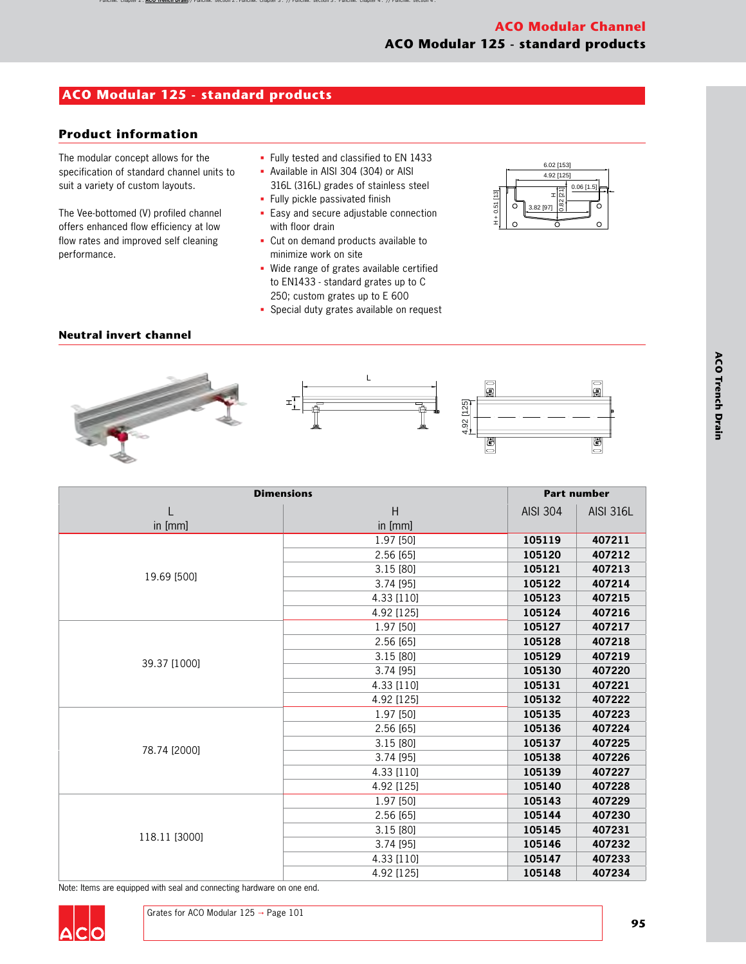# **ACO Modular 125 - standard products**

## **Product information**

The modular concept allows for the specification of standard channel units to suit a variety of custom layouts.

The Vee-bottomed (V) profiled channel offers enhanced flow efficiency at low flow rates and improved self cleaning performance.

- § Fully tested and classified to EN 1433
- § Available in AISI 304 (304) or AISI
- 316L (316L) grades of stainless steel § Fully pickle passivated finish
- 
- Easy and secure adjustable connection with floor drain
- § Cut on demand products available to minimize work on site
- § Wide range of grates available certified to EN1433 - standard grates up to C 250; custom grates up to E 600
- § Special duty grates available on request



## **Neutral invert channel**





| <b>Dimensions</b> |              |                 | <b>Part number</b> |  |
|-------------------|--------------|-----------------|--------------------|--|
| in [mm]           | H<br>in [mm] | <b>AISI 304</b> | <b>AISI 316L</b>   |  |
|                   | 1.97 [50]    | 105119          | 407211             |  |
|                   | 2.56 [65]    | 105120          | 407212             |  |
| 19.69 [500]       | 3.15 [80]    | 105121          | 407213             |  |
|                   | 3.74 [95]    | 105122          | 407214             |  |
|                   | 4.33 [110]   | 105123          | 407215             |  |
|                   | 4.92 [125]   | 105124          | 407216             |  |
|                   | 1.97 [50]    | 105127          | 407217             |  |
|                   | 2.56 [65]    | 105128          | 407218             |  |
| 39.37 [1000]      | 3.15 [80]    | 105129          | 407219             |  |
|                   | 3.74 [95]    | 105130          | 407220             |  |
|                   | 4.33 [110]   | 105131          | 407221             |  |
|                   | 4.92 [125]   | 105132          | 407222             |  |
|                   | 1.97 [50]    | 105135          | 407223             |  |
|                   | 2.56 [65]    | 105136          | 407224             |  |
| 78.74 [2000]      | 3.15 [80]    | 105137          | 407225             |  |
|                   | 3.74 [95]    | 105138          | 407226             |  |
|                   | 4.33 [110]   | 105139          | 407227             |  |
|                   | 4.92 [125]   | 105140          | 407228             |  |
|                   | 1.97 [50]    | 105143          | 407229             |  |
|                   | 2.56 [65]    | 105144          | 407230             |  |
|                   | 3.15 [80]    | 105145          | 407231             |  |
| 118.11 [3000]     | 3.74 [95]    | 105146          | 407232             |  |
|                   | 4.33 [110]   | 105147          | 407233             |  |
|                   | 4.92 [125]   | 105148          | 407234             |  |

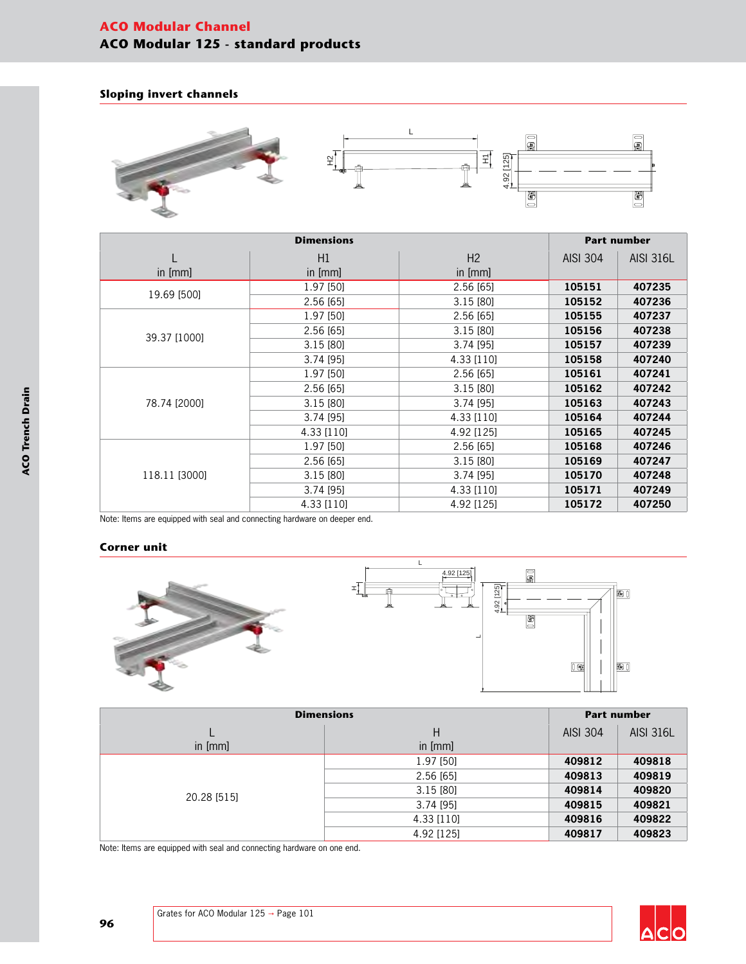# **ACO Modular Channel ACO Modular 125 - standard products**

### **Sloping invert channels**



| <b>Dimensions</b> |            |            |                 | <b>Part number</b> |  |
|-------------------|------------|------------|-----------------|--------------------|--|
|                   | H1         | H2         | <b>AISI 304</b> | <b>AISI 316L</b>   |  |
| in [mm]           | in [mm]    | in $[mm]$  |                 |                    |  |
| 19.69 [500]       | 1.97 [50]  | 2.56 [65]  | 105151          | 407235             |  |
|                   | 2.56 [65]  | 3.15 [80]  | 105152          | 407236             |  |
|                   | 1.97 [50]  | 2.56 [65]  | 105155          | 407237             |  |
|                   | 2.56[65]   | 3.15 [80]  | 105156          | 407238             |  |
| 39.37 [1000]      | 3.15[80]   | 3.74 [95]  | 105157          | 407239             |  |
|                   | 3.74 [95]  | 4.33 [110] | 105158          | 407240             |  |
|                   | 1.97 [50]  | 2.56 [65]  | 105161          | 407241             |  |
|                   | 2.56[65]   | 3.15 [80]  | 105162          | 407242             |  |
| 78.74 [2000]      | 3.15[80]   | 3.74 [95]  | 105163          | 407243             |  |
|                   | 3.74 [95]  | 4.33 [110] | 105164          | 407244             |  |
|                   | 4.33 [110] | 4.92 [125] | 105165          | 407245             |  |
|                   | 1.97 [50]  | 2.56 [65]  | 105168          | 407246             |  |
| 118.11 [3000]     | 2.56 [65]  | 3.15 [80]  | 105169          | 407247             |  |
|                   | 3.15 [80]  | 3.74 [95]  | 105170          | 407248             |  |
|                   | 3.74 [95]  | 4.33 [110] | 105171          | 407249             |  |
|                   | 4.33 [110] | 4.92 [125] | 105172          | 407250             |  |

Note: Items are equipped with seal and connecting hardware on deeper end.

#### **Corner unit**



| <b>Dimensions</b> |             |                 | <b>Part number</b> |  |
|-------------------|-------------|-----------------|--------------------|--|
|                   | Н           | <b>AISI 304</b> | <b>AISI 316L</b>   |  |
| in [mm]           | in [mm]     |                 |                    |  |
|                   | 1.97 [50]   | 409812          | 409818             |  |
|                   | 2.56[65]    | 409813          | 409819             |  |
|                   | 3.15[80]    | 409814          | 409820             |  |
| 20.28 [515]       | $3.74$ [95] | 409815          | 409821             |  |
|                   | 4.33 [110]  | 409816          | 409822             |  |
|                   | 4.92 [125]  | 409817          | 409823             |  |

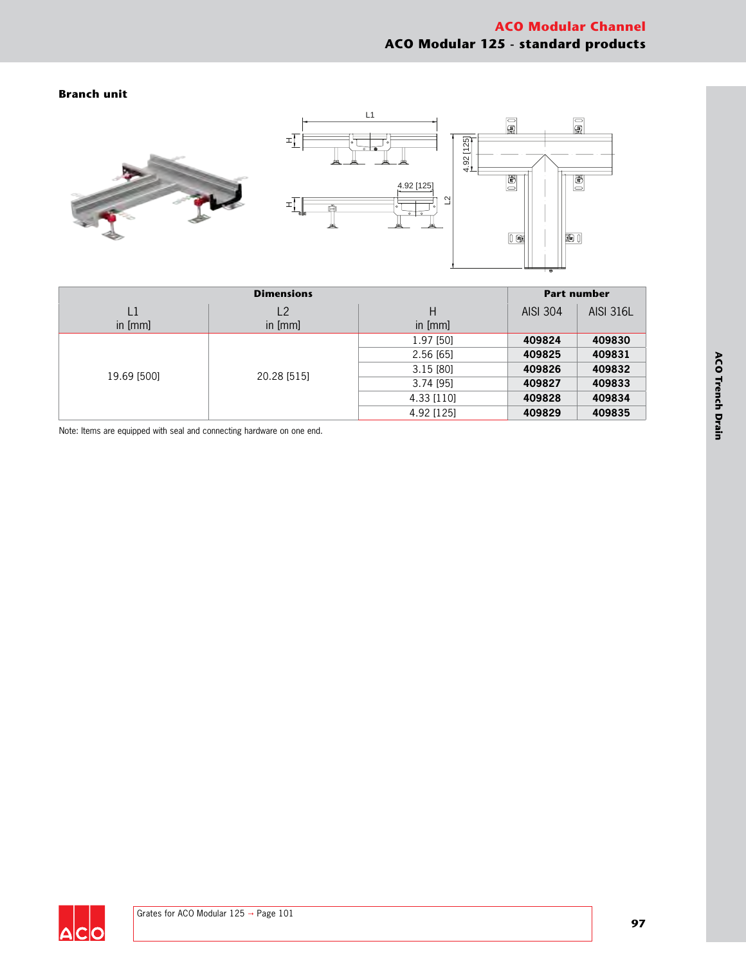### **Branch unit**



| <b>Dimensions</b> |                |             |                 | <b>Part number</b>         |  |
|-------------------|----------------|-------------|-----------------|----------------------------|--|
| L1                | L <sub>2</sub> | Н           | <b>AISI 304</b> | <b>AISI 316L</b>           |  |
| in $[mm]$         | in [mm]        | in [mm]     |                 |                            |  |
| 19.69 [500]       |                | 1.97 [50]   | 409824          | 409830                     |  |
|                   |                | 2.56[65]    | 409825          | 409831                     |  |
|                   | 20.28 [515]    | 3.15[80]    | 409826          | 409832<br>409833<br>409834 |  |
|                   |                | $3.74$ [95] | 409827          |                            |  |
|                   |                | 4.33 [110]  | 409828          |                            |  |
|                   |                | 4.92 [125]  | 409829          | 409835                     |  |

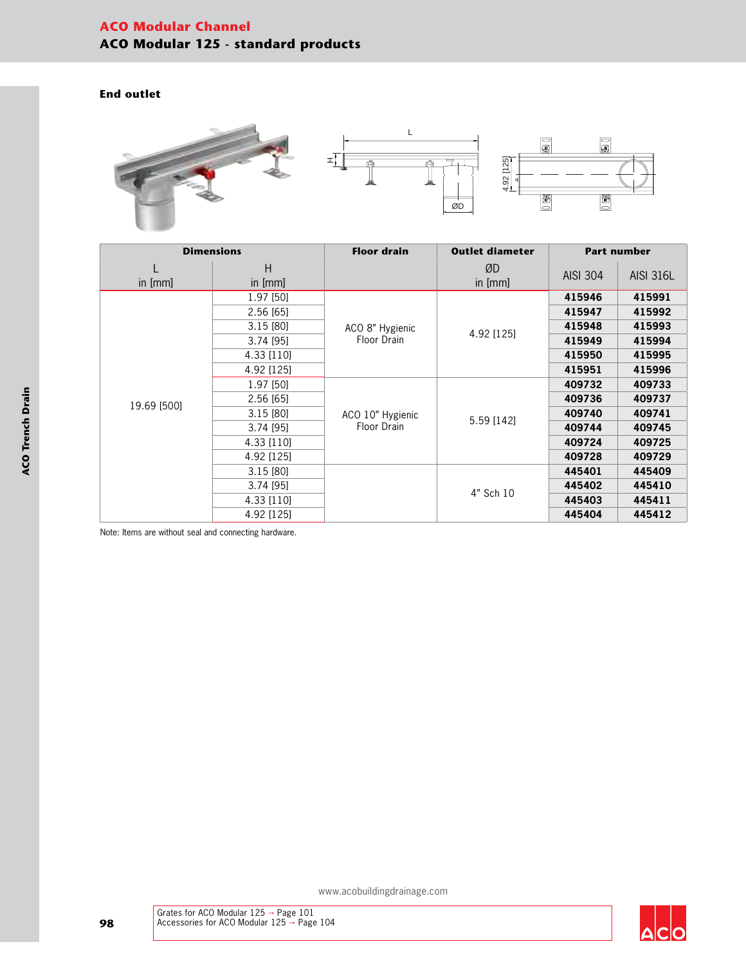# **ACO Modular Channel ACO Modular 125 - standard products**

## **End outlet**



| <b>Dimensions</b> |              | <b>Floor drain</b> | <b>Outlet diameter</b> | <b>Part number</b> |                  |
|-------------------|--------------|--------------------|------------------------|--------------------|------------------|
| in [mm]           | Н<br>in [mm] |                    | ØD<br>in [mm]          | <b>AISI 304</b>    | <b>AISI 316L</b> |
|                   | 1.97 [50]    |                    |                        | 415946             | 415991           |
|                   | 2.56[65]     |                    |                        | 415947             | 415992           |
|                   | 3.15 [80]    | ACO 8" Hygienic    | 4.92 [125]             | 415948             | 415993           |
|                   | 3.74 [95]    | Floor Drain        |                        | 415949             | 415994           |
|                   | 4.33 [110]   |                    |                        | 415950             | 415995           |
|                   | 4.92 [125]   |                    |                        | 415951             | 415996           |
|                   | 1.97 [50]    |                    | 5.59 [142]             | 409732             | 409733           |
| 19.69 [500]       | 2.56 [65]    |                    |                        | 409736             | 409737           |
|                   | 3.15 [80]    | ACO 10" Hygienic   |                        | 409740             | 409741           |
|                   | 3.74 [95]    | Floor Drain        |                        | 409744             | 409745           |
|                   | 4.33 [110]   |                    |                        | 409724             | 409725           |
|                   | 4.92 [125]   |                    |                        | 409728             | 409729           |
|                   | 3.15 [80]    |                    |                        | 445401             | 445409           |
|                   | 3.74 [95]    |                    | 4" Sch 10              | 445402             | 445410           |
|                   | 4.33 [110]   |                    |                        | 445403             | 445411           |
|                   | 4.92 [125]   |                    |                        | 445404             | 445412           |

Note: Items are without seal and connecting hardware.

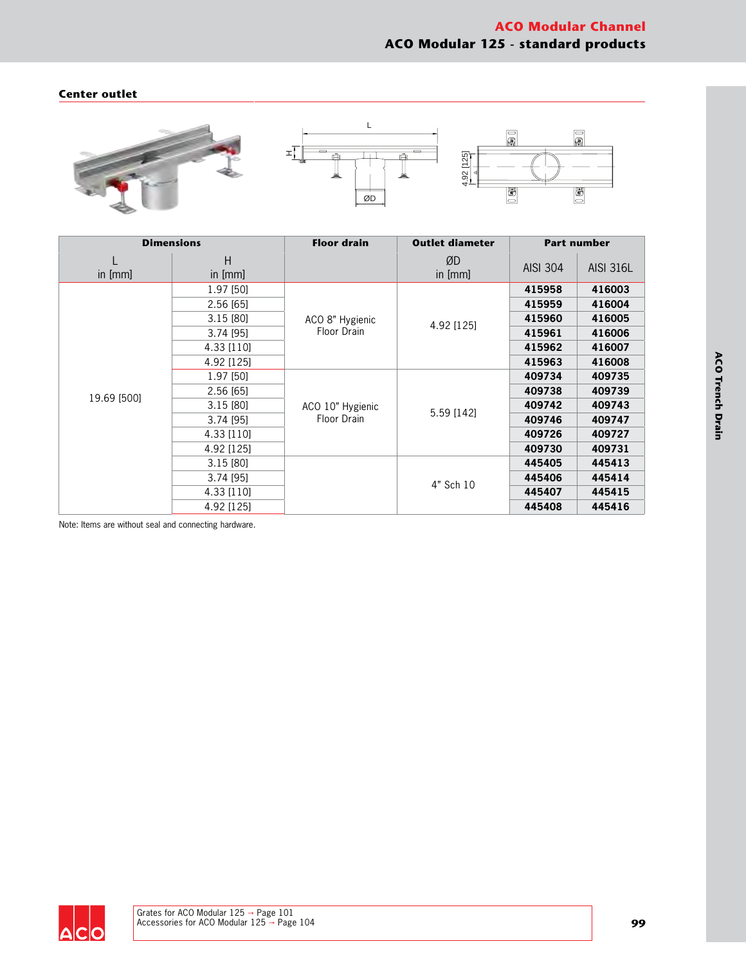### **Center outlet**



| <b>Dimensions</b> |              | <b>Floor drain</b> | <b>Outlet diameter</b> |                 | <b>Part number</b> |
|-------------------|--------------|--------------------|------------------------|-----------------|--------------------|
| in [mm]           | Н<br>in [mm] |                    | ØD<br>in [mm]          | <b>AISI 304</b> | <b>AISI 316L</b>   |
|                   | 1.97 [50]    |                    |                        | 415958          | 416003             |
|                   | 2.56 [65]    |                    |                        | 415959          | 416004             |
|                   | 3.15 [80]    | ACO 8" Hygienic    | 4.92 [125]             | 415960          | 416005             |
|                   | 3.74 [95]    | Floor Drain        |                        | 415961          | 416006             |
|                   | 4.33 [110]   |                    |                        | 415962          | 416007             |
|                   | 4.92 [125]   |                    |                        | 415963          | 416008             |
|                   | 1.97 [50]    |                    | 5.59 [142]             | 409734          | 409735             |
| 19.69 [500]       | 2.56 [65]    |                    |                        | 409738          | 409739             |
|                   | 3.15 [80]    | ACO 10" Hygienic   |                        | 409742          | 409743             |
|                   | $3.74$ [95]  | Floor Drain        |                        | 409746          | 409747             |
|                   | 4.33 [110]   |                    |                        | 409726          | 409727             |
|                   | 4.92 [125]   |                    |                        | 409730          | 409731             |
|                   | 3.15[80]     |                    |                        | 445405          | 445413             |
|                   | 3.74 [95]    |                    |                        | 445406          | 445414             |
|                   | 4.33 [110]   |                    | 4" Sch 10              | 445407          | 445415             |
|                   | 4.92 [125]   |                    |                        | 445408          | 445416             |

Note: Items are without seal and connecting hardware.

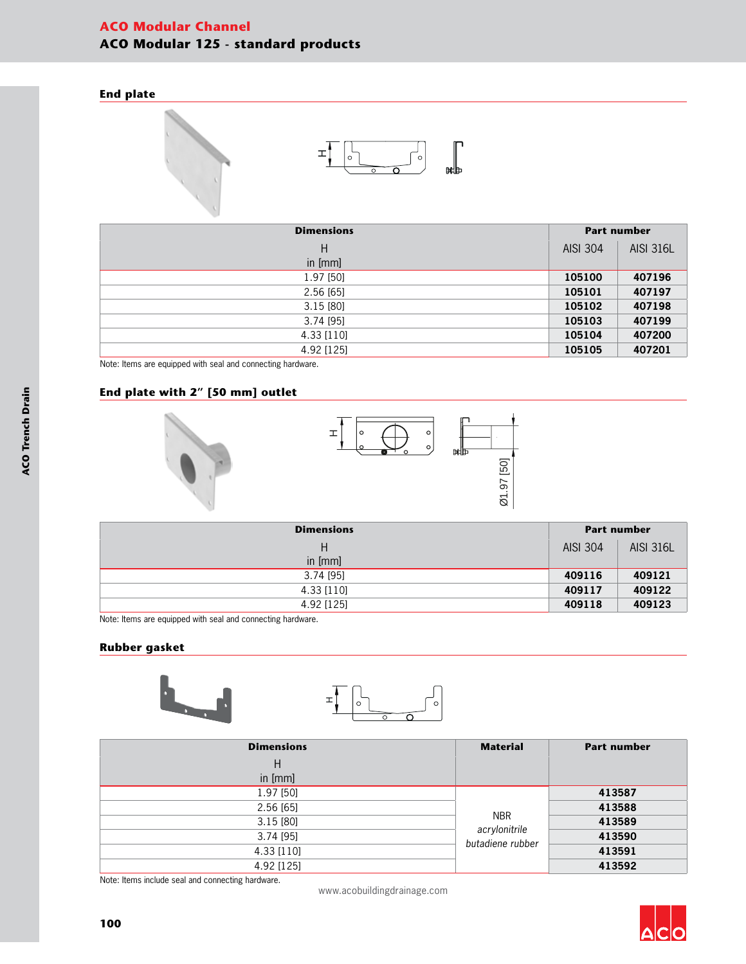# **ACO Modular Channel ACO Modular 125 - standard products**

## **End plate**





| <b>Dimensions</b> |                 | <b>Part number</b> |  |
|-------------------|-----------------|--------------------|--|
| Н                 | <b>AISI 304</b> | <b>AISI 316L</b>   |  |
| in [mm]           |                 |                    |  |
| 1.97 [50]         | 105100          | 407196             |  |
| 2.56 [65]         | 105101          | 407197             |  |
| 3.15[80]          | 105102          | 407198             |  |
| 3.74 [95]         | 105103          | 407199             |  |
| 4.33 [110]        | 105104          | 407200             |  |
| 4.92 [125]        | 105105          | 407201             |  |

Note: Items are equipped with seal and connecting hardware.

### **End plate with 2" [50 mm] outlet**





| <b>Dimensions</b> | <b>Part number</b> |                  |
|-------------------|--------------------|------------------|
| Н                 | AISI 304           | <b>AISI 316L</b> |
| in [mm]           |                    |                  |
| 3.74 [95]         | 409116             | 409121           |
| 4.33 [110]        | 409117             | 409122           |
| 4.92 [125]        | 409118             | 409123           |

Note: Items are equipped with seal and connecting hardware.

#### **Rubber gasket**



| <b>Dimensions</b> | <b>Material</b>                   | <b>Part number</b> |
|-------------------|-----------------------------------|--------------------|
| Н                 |                                   |                    |
| in [mm]           |                                   |                    |
| 1.97 [50]         |                                   | 413587             |
| 2.56[65]          |                                   | 413588             |
| 3.15[80]          | <b>NBR</b>                        | 413589             |
| $3.74$ [95]       | acrylonitrile<br>butadiene rubber | 413590             |
| 4.33 [110]        |                                   | 413591             |
| 4.92 [125]        |                                   | 413592             |

Note: Items include seal and connecting hardware.

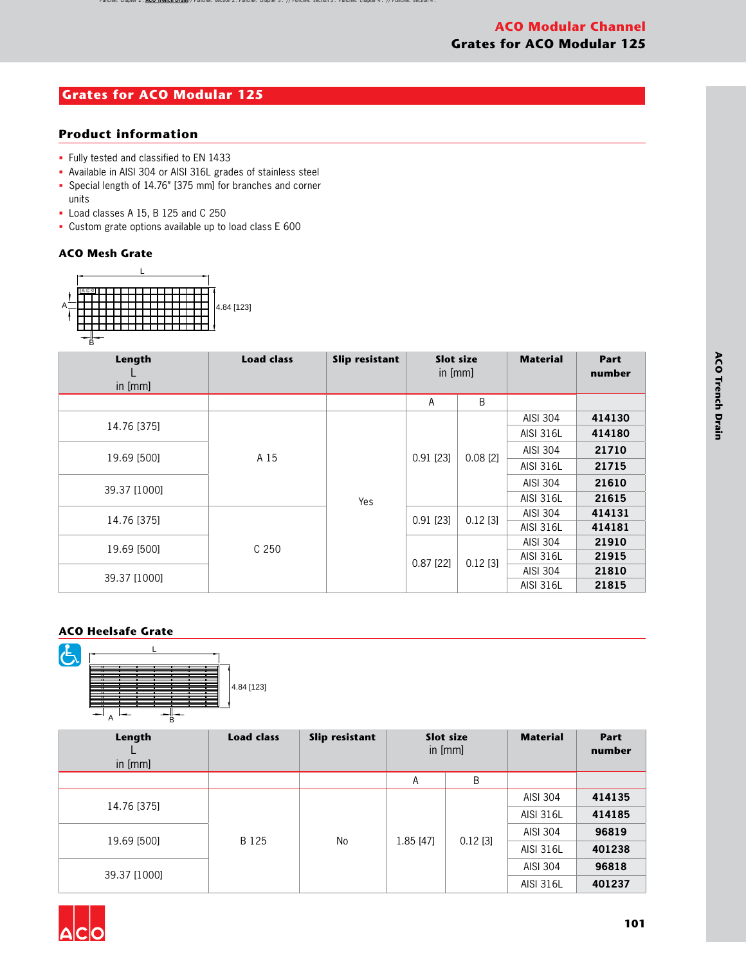# **ACO Modular Channel Grates for ACO Modular 125**

# **Grates for ACO Modular 125**

## **Product information**

- § Fully tested and classified to EN 1433
- § Available in AISI 304 or AISI 316L grades of stainless steel
- § Special length of 14.76" [375 mm] for branches and corner units
- § Load classes A 15, B 125 and C 250
- § Custom grate options available up to load class E 600

### **ACO Mesh Grate**



| Length<br>in $[mm]$ | <b>Load class</b> | Slip resistant | <b>Slot size</b><br>in [mm] |             | <b>Material</b>  | Part<br>number |       |
|---------------------|-------------------|----------------|-----------------------------|-------------|------------------|----------------|-------|
|                     |                   |                | A                           | B           |                  |                |       |
| 14.76 [375]         | A 15              |                |                             |             | AISI 304         | 414130         |       |
|                     |                   |                |                             |             | <b>AISI 316L</b> | 414180         |       |
| 19.69 [500]         |                   |                |                             | $0.91$ [23] | $0.08$ [2]       | AISI 304       | 21710 |
|                     |                   |                |                             |             | <b>AISI 316L</b> | 21715          |       |
| 39.37 [1000]        |                   |                |                             |             |                  | AISI 304       | 21610 |
|                     |                   | Yes            |                             |             | <b>AISI 316L</b> | 21615          |       |
| 14.76 [375]         |                   |                | $0.91$ [23]                 | $0.12$ [3]  | AISI 304         | 414131         |       |
|                     |                   |                |                             |             | <b>AISI 316L</b> | 414181         |       |
| 19.69 [500]         | C <sub>250</sub>  |                |                             |             | AISI 304         | 21910          |       |
|                     |                   |                | $0.87$ [22]                 |             | <b>AISI 316L</b> | 21915          |       |
| 39.37 [1000]        |                   |                |                             | $0.12$ [3]  | AISI 304         | 21810          |       |
|                     |                   |                |                             |             | <b>AISI 316L</b> | 21815          |       |

## **ACO Heelsafe Grate**



| Length<br>in [mm] | <b>Load class</b> | Slip resistant                | Slot size<br>in $[mm]$ |                  | <b>Material</b>  | <b>Part</b><br>number |
|-------------------|-------------------|-------------------------------|------------------------|------------------|------------------|-----------------------|
|                   |                   |                               | A                      | B                |                  |                       |
|                   | B 125             | No<br>$0.12$ [3]<br>1.85 [47] |                        | <b>AISI 304</b>  | 414135           |                       |
| 14.76 [375]       |                   |                               |                        | <b>AISI 316L</b> | 414185           |                       |
| 19.69 [500]       |                   |                               |                        | AISI 304         | 96819            |                       |
|                   |                   |                               |                        |                  | <b>AISI 316L</b> | 401238                |
| 39.37 [1000]      |                   |                               |                        |                  | <b>AISI 304</b>  | 96818                 |
|                   |                   |                               |                        |                  | <b>AISI 316L</b> | 401237                |

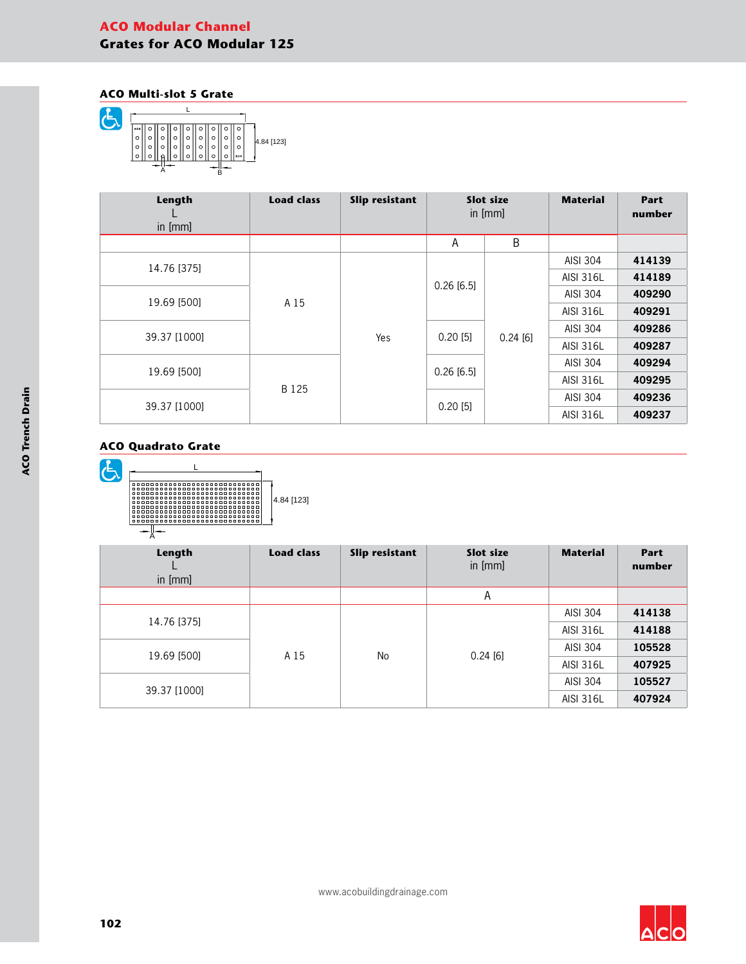# **ACO Modular Channel Grates for ACO Modular 125**

### **ACO Multi-slot 5 Grate**



| Length<br>in $[mm]$ | <b>Load class</b> | <b>Slip resistant</b> | Slot size<br>in $[mm]$ |            | <b>Material</b>  | Part<br>number |
|---------------------|-------------------|-----------------------|------------------------|------------|------------------|----------------|
|                     |                   |                       | А                      | B          |                  |                |
| 14.76 [375]         | A 15              |                       |                        |            | AISI 304         | 414139         |
|                     |                   |                       | $0.26$ [6.5]           |            | AISI 316L        | 414189         |
| 19.69 [500]         |                   |                       |                        | AISI 304   | 409290           |                |
|                     |                   |                       |                        | AISI 316L  | 409291           |                |
| 39.37 [1000]        |                   |                       |                        |            |                  | AISI 304       |
|                     |                   | Yes                   | $0.20$ [5]             | $0.24$ [6] | AISI 316L        | 409287         |
|                     |                   |                       |                        |            | AISI 304         | 409294         |
| 19.69 [500]         |                   |                       | $0.26$ [6.5]           |            | AISI 316L        | 409295         |
|                     | B 125             |                       |                        |            | AISI 304         | 409236         |
| 39.37 [1000]        |                   | 0.20[5]               |                        |            | <b>AISI 316L</b> | 409237         |





| Length<br>in [mm] | <b>Load class</b> | Slip resistant | Slot size<br>in [mm] | <b>Material</b> | Part<br>number |
|-------------------|-------------------|----------------|----------------------|-----------------|----------------|
|                   |                   |                | A                    |                 |                |
| 14.76 [375]       |                   |                |                      | AISI 304        | 414138         |
|                   | A 15              |                |                      | AISI 316L       | 414188         |
|                   |                   |                |                      | AISI 304        | 105528         |
| 19.69 [500]       |                   | No             | 0.24[6]              | AISI 316L       | 407925         |
| 39.37 [1000]      |                   |                |                      | AISI 304        | 105527         |
|                   |                   |                |                      | AISI 316L       | 407924         |

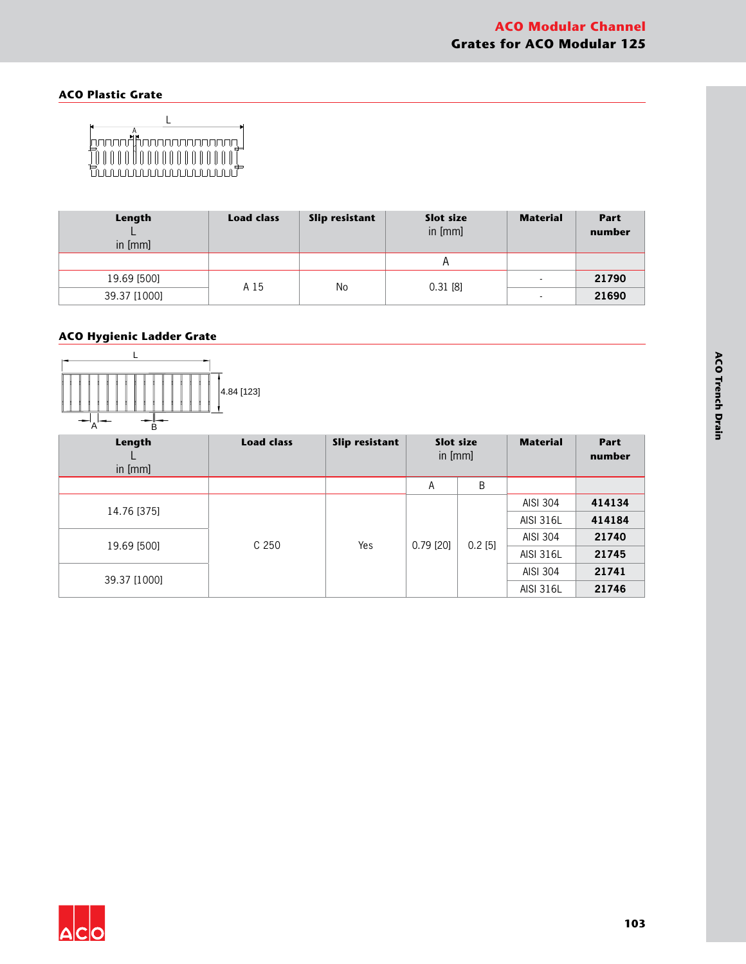# **ACO Plastic Grate**



| Length<br>in [mm] | <b>Load class</b> | Slip resistant | Slot size<br>in [mm] | <b>Material</b>          | <b>Part</b><br>number |
|-------------------|-------------------|----------------|----------------------|--------------------------|-----------------------|
|                   |                   |                |                      |                          |                       |
| 19.69 [500]       | A 15              | No             |                      | $\overline{\phantom{0}}$ | 21790                 |
| 39.37 [1000]      |                   |                | $0.31$ [8]           | $\blacksquare$           | 21690                 |

# **ACO Hygienic Ladder Grate**



| Length<br>in [mm] | <b>Load class</b> | Slip resistant | Slot size<br>in [mm] |           | <b>Material</b>  | <b>Part</b><br>number |
|-------------------|-------------------|----------------|----------------------|-----------|------------------|-----------------------|
|                   |                   |                | A                    | B         |                  |                       |
|                   |                   |                | $0.79$ [20]          | $0.2$ [5] | AISI 304         | 414134                |
| 14.76 [375]       | C <sub>250</sub>  |                |                      |           | <b>AISI 316L</b> | 414184                |
|                   |                   |                |                      |           | AISI 304         | 21740                 |
| 19.69 [500]       |                   | Yes            |                      |           | <b>AISI 316L</b> | 21745                 |
| 39.37 [1000]      |                   |                |                      |           | AISI 304         | 21741                 |
|                   |                   |                |                      |           | <b>AISI 316L</b> | 21746                 |

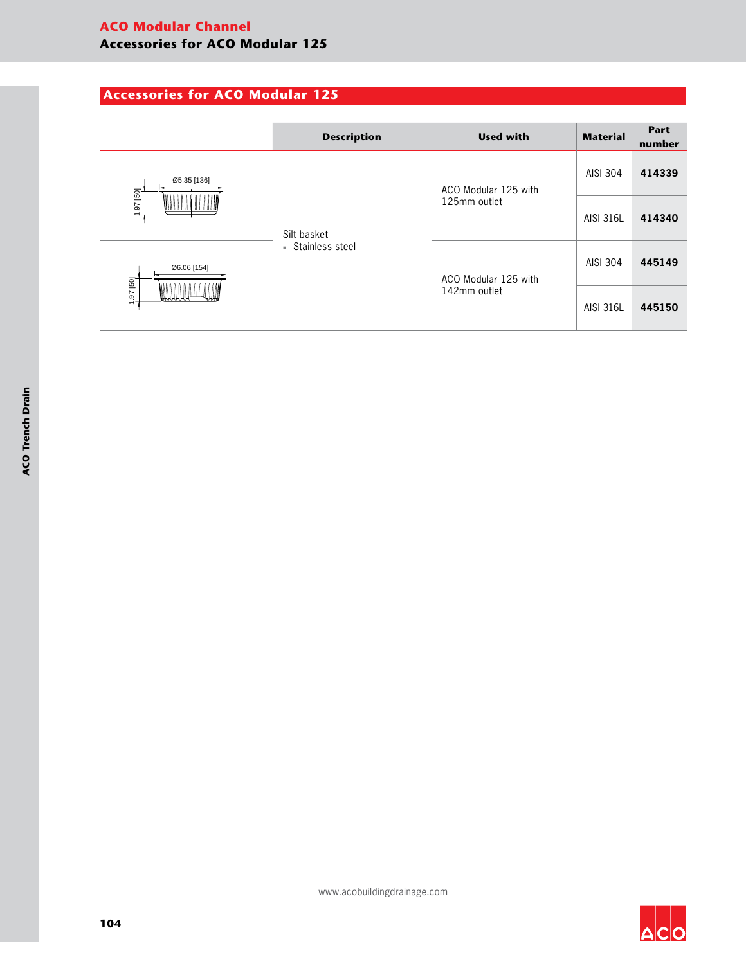# **Accessories for ACO Modular 125**

|                                        | <b>Description</b>               | <b>Used with</b>     | <b>Material</b>  | Part<br>number |
|----------------------------------------|----------------------------------|----------------------|------------------|----------------|
| Ø5.35 [136]<br>69 26<br>$\overline{ }$ |                                  | ACO Modular 125 with | AISI 304         | 414339         |
|                                        | Silt basket<br>- Stainless steel | 125mm outlet         | <b>AISI 316L</b> | 414340         |
| 06.06 [154]<br>1.97 [50]<br>₩₩₩₩₩      |                                  | ACO Modular 125 with | AISI 304         | 445149         |
|                                        |                                  | 142mm outlet         | <b>AISI 316L</b> | 445150         |

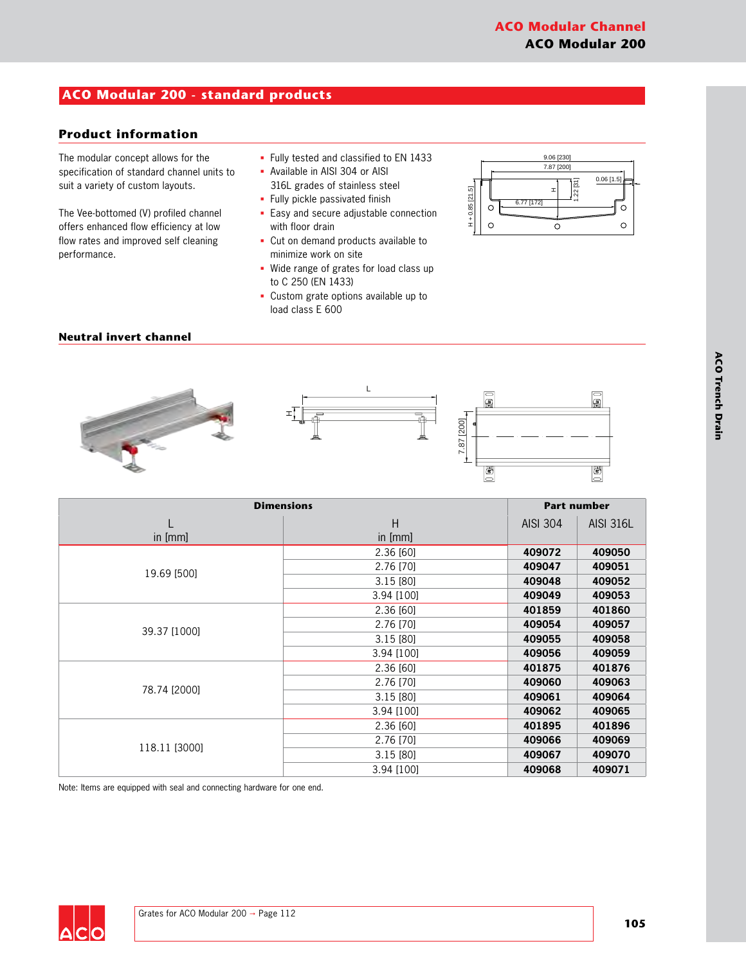# **ACO Modular 200 - standard products**

# **Product information**

The modular concept allows for the specification of standard channel units to suit a variety of custom layouts.

The Vee-bottomed (V) profiled channel offers enhanced flow efficiency at low flow rates and improved self cleaning performance.

- § Fully tested and classified to EN 1433
- § Available in AISI 304 or AISI 316L grades of stainless steel
- § Fully pickle passivated finish
- § Easy and secure adjustable connection with floor drain
- § Cut on demand products available to minimize work on site
- § Wide range of grates for load class up to C 250 (EN 1433)
- § Custom grate options available up to load class E 600



### **Neutral invert channel**





| <b>Dimensions</b> |            |          | <b>Part number</b> |
|-------------------|------------|----------|--------------------|
|                   | H          | AISI 304 | <b>AISI 316L</b>   |
| in [mm]           | in [mm]    |          |                    |
|                   | 2.36 [60]  | 409072   | 409050             |
| 19.69 [500]       | 2.76 [70]  | 409047   | 409051             |
|                   | 3.15 [80]  | 409048   | 409052             |
|                   | 3.94 [100] | 409049   | 409053             |
|                   | 2.36 [60]  | 401859   | 401860             |
|                   | 2.76 [70]  | 409054   | 409057             |
| 39.37 [1000]      | 3.15 [80]  | 409055   | 409058             |
|                   | 3.94 [100] | 409056   | 409059             |
|                   | 2.36 [60]  | 401875   | 401876             |
| 78.74 [2000]      | 2.76 [70]  | 409060   | 409063             |
|                   | 3.15 [80]  | 409061   | 409064             |
|                   | 3.94 [100] | 409062   | 409065             |
|                   | 2.36 [60]  | 401895   | 401896             |
| 118.11 [3000]     | 2.76 [70]  | 409066   | 409069             |
|                   | 3.15[80]   | 409067   | 409070             |
|                   | 3.94 [100] | 409068   | 409071             |

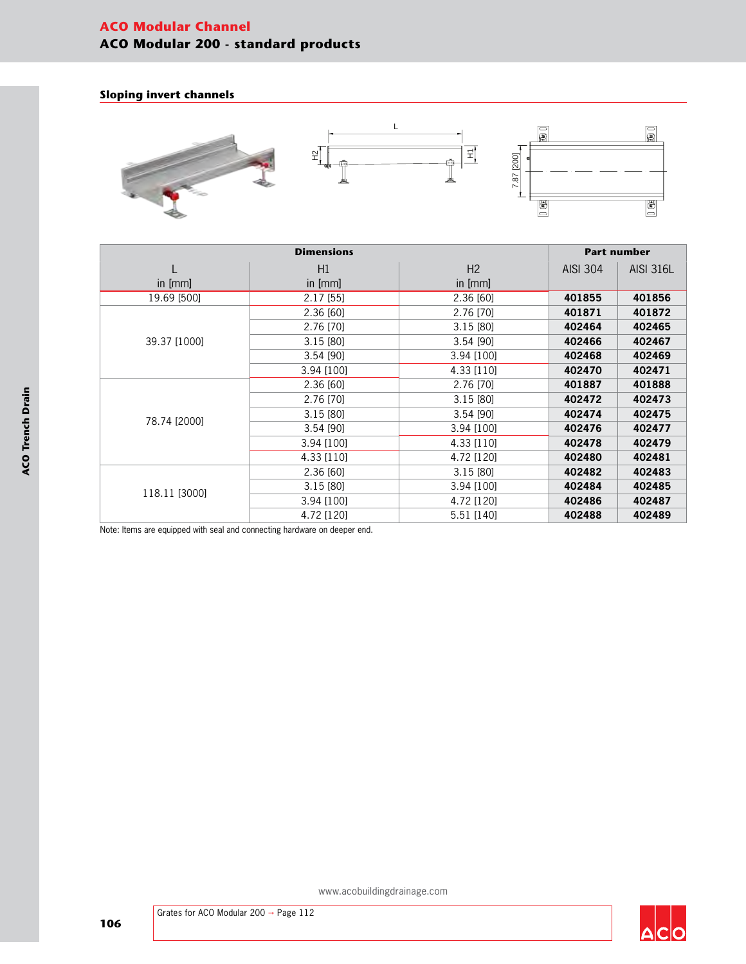# **ACO Modular Channel ACO Modular 200 - standard products**

### **Sloping invert channels**



|               |             | <b>Part number</b> |                 |                  |
|---------------|-------------|--------------------|-----------------|------------------|
|               | H1          | H <sub>2</sub>     | <b>AISI 304</b> | <b>AISI 316L</b> |
| in [mm]       | in [mm]     | in [mm]            |                 |                  |
| 19.69 [500]   | $2.17$ [55] | 2.36 [60]          | 401855          | 401856           |
|               | 2.36 [60]   | 2.76 [70]          | 401871          | 401872           |
|               | 2.76 [70]   | 3.15[80]           | 402464          | 402465           |
| 39.37 [1000]  | 3.15 [80]   | 3.54 [90]          | 402466          | 402467           |
|               | $3.54$ [90] | 3.94 [100]         | 402468          | 402469           |
|               | 3.94 [100]  | 4.33 [110]         | 402470          | 402471           |
|               | 2.36 [60]   | 2.76 [70]          | 401887          | 401888           |
|               | 2.76 [70]   | 3.15 [80]          | 402472          | 402473           |
| 78.74 [2000]  | 3.15 [80]   | 3.54 [90]          | 402474          | 402475           |
|               | 3.54 [90]   | 3.94 [100]         | 402476          | 402477           |
|               | 3.94 [100]  | 4.33 [110]         | 402478          | 402479           |
|               | 4.33 [110]  | 4.72 [120]         | 402480          | 402481           |
|               | 2.36 [60]   | 3.15 [80]          | 402482          | 402483           |
|               | 3.15 [80]   | 3.94 [100]         | 402484          | 402485           |
| 118.11 [3000] | 3.94 [100]  | 4.72 [120]         | 402486          | 402487           |
|               | 4.72 [120]  | 5.51 [140]         | 402488          | 402489           |

Note: Items are equipped with seal and connecting hardware on deeper end.



 $\Delta$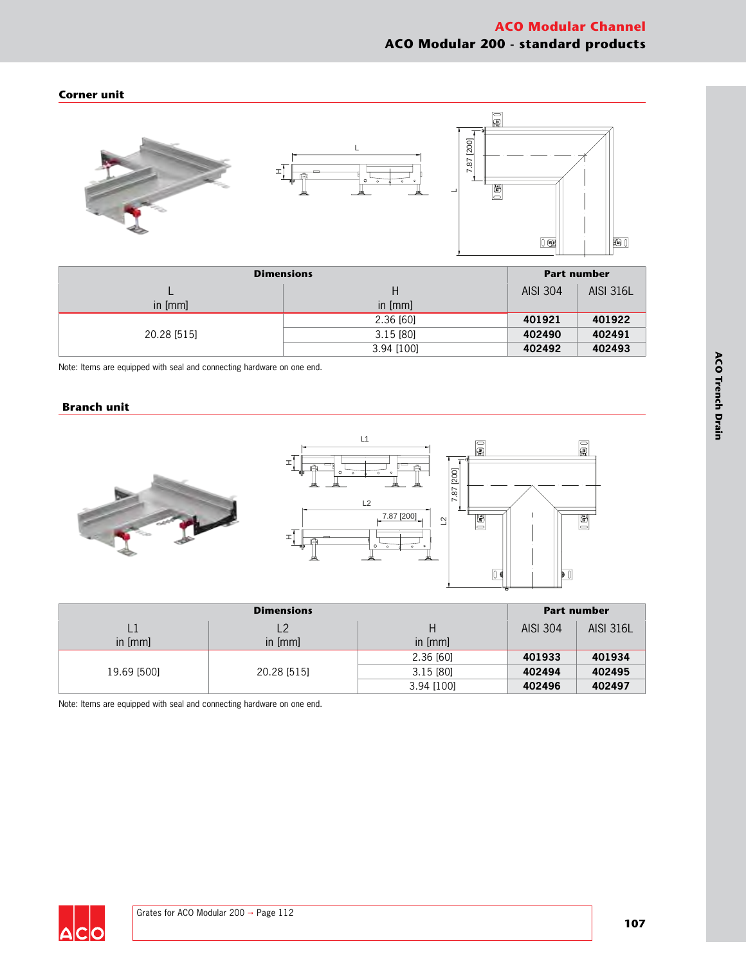### **Corner unit**



| <b>Dimensions</b> |            |          | <b>Part number</b> |  |
|-------------------|------------|----------|--------------------|--|
|                   |            | AISI 304 | <b>AISI 316L</b>   |  |
| in [mm]           | in $[mm]$  |          |                    |  |
|                   | 2.36 [60]  | 401921   | 401922             |  |
| 20.28 [515]       | 3.15[80]   | 402490   | 402491             |  |
|                   | 3.94 [100] | 402492   | 402493             |  |

Note: Items are equipped with seal and connecting hardware on one end.

## **Branch unit**



| <b>Dimensions</b> |                |            |          | <b>Part number</b> |
|-------------------|----------------|------------|----------|--------------------|
| L1                | L <sub>2</sub> | Н          | AISI 304 | <b>AISI 316L</b>   |
| in [mm]           | in [mm]        | in $[mm]$  |          |                    |
| 19.69 [500]       | 20.28 [515]    | 2.36 [60]  | 401933   | 401934             |
|                   |                | 3.15[80]   | 402494   | 402495             |
|                   |                | 3.94 [100] | 402496   | 402497             |

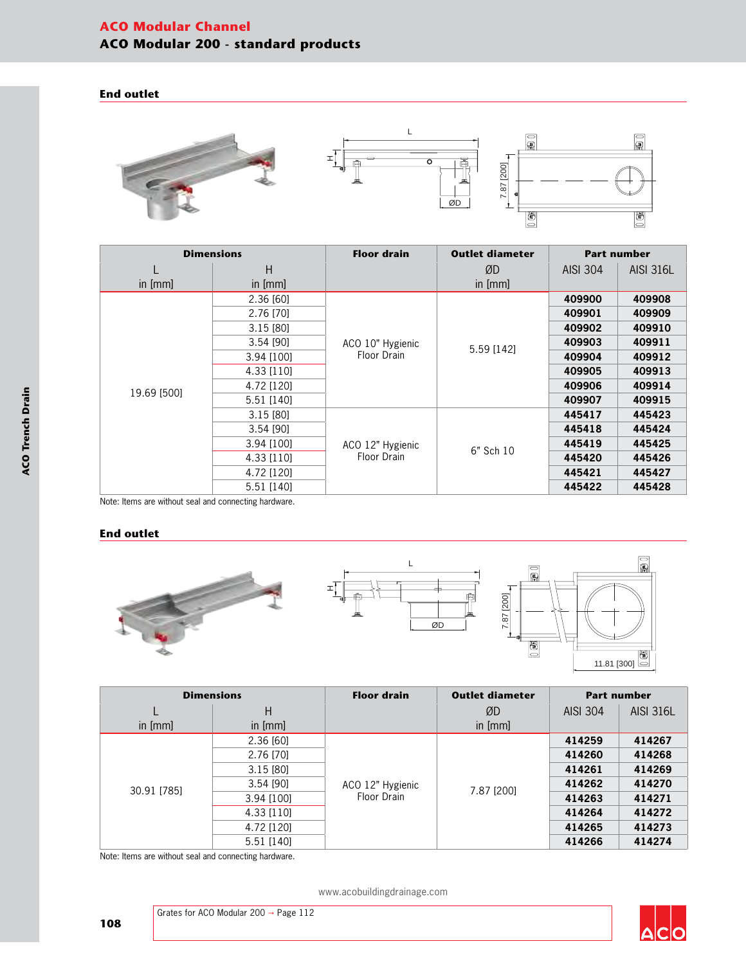# **ACO Modular Channel ACO Modular 200 - standard products**

#### **End outlet**



| <b>Dimensions</b> |            | <b>Floor drain</b>              | <b>Outlet diameter</b> | <b>Part number</b> |                  |
|-------------------|------------|---------------------------------|------------------------|--------------------|------------------|
|                   | H          |                                 | ØD                     | AISI 304           | <b>AISI 316L</b> |
| in [mm]           | in [mm]    |                                 | in $[mm]$              |                    |                  |
|                   | 2.36 [60]  |                                 |                        | 409900             | 409908           |
|                   | 2.76 [70]  |                                 |                        | 409901             | 409909           |
|                   | 3.15[80]   |                                 |                        | 409902             | 409910           |
|                   | 3.54 [90]  | ACO 10" Hygienic<br>Floor Drain | 5.59 [142]             | 409903             | 409911           |
|                   | 3.94 [100] |                                 |                        | 409904             | 409912           |
|                   | 4.33 [110] |                                 |                        | 409905             | 409913           |
| 19.69 [500]       | 4.72 [120] |                                 |                        | 409906             | 409914           |
|                   | 5.51 [140] |                                 |                        | 409907             | 409915           |
|                   | 3.15[80]   |                                 |                        | 445417             | 445423           |
|                   | 3.54 [90]  |                                 |                        | 445418             | 445424           |
|                   | 3.94 [100] | ACO 12" Hygienic                | 6" Sch 10              | 445419             | 445425           |
|                   | 4.33 [110] | Floor Drain                     |                        | 445420             | 445426           |
|                   | 4.72 [120] |                                 |                        | 445421             | 445427           |
|                   | 5.51 [140] |                                 |                        | 445422             | 445428           |

Note: Items are without seal and connecting hardware.

### **End outlet**



| <b>Dimensions</b> |            | <b>Floor drain</b>              | <b>Outlet diameter</b> |                 | <b>Part number</b> |
|-------------------|------------|---------------------------------|------------------------|-----------------|--------------------|
|                   | Н          |                                 | ØD                     | <b>AISI 304</b> | <b>AISI 316L</b>   |
| in $[mm]$         | in [mm]    |                                 | in $[mm]$              |                 |                    |
|                   | 2.36 [60]  |                                 |                        | 414259          | 414267             |
|                   | 2.76 [70]  | ACO 12" Hygienic<br>Floor Drain |                        | 414260          | 414268             |
|                   | 3.15 [80]  |                                 | 7.87 [200]             | 414261          | 414269             |
| 30.91 [785]       | 3.54 [90]  |                                 |                        | 414262          | 414270             |
|                   | 3.94 [100] |                                 |                        | 414263          | 414271             |
|                   | 4.33 [110] |                                 |                        | 414264          | 414272             |
|                   | 4.72 [120] |                                 |                        | 414265          | 414273             |
|                   | 5.51 [140] |                                 |                        | 414266          | 414274             |

Note: Items are without seal and connecting hardware.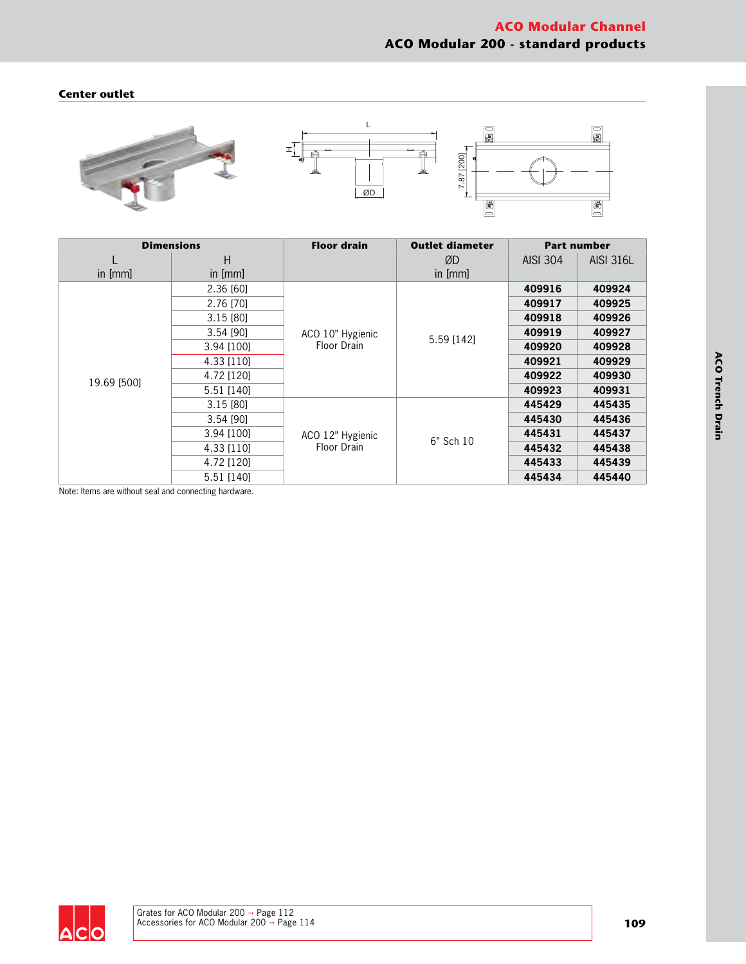## **Center outlet**



| <b>Dimensions</b> |             | <b>Floor drain</b>              | <b>Outlet diameter</b> |                 | <b>Part number</b> |
|-------------------|-------------|---------------------------------|------------------------|-----------------|--------------------|
|                   | Н           |                                 | ØD                     | <b>AISI 304</b> | <b>AISI 316L</b>   |
| in $[mm]$         | in [mm]     |                                 | in $[mm]$              |                 |                    |
|                   | 2.36 [60]   |                                 |                        | 409916          | 409924             |
|                   | 2.76 [70]   |                                 |                        | 409917          | 409925             |
|                   | 3.15[80]    |                                 |                        | 409918          | 409926             |
|                   | $3.54$ [90] | ACO 10" Hygienic<br>Floor Drain | 5.59 [142]             | 409919          | 409927             |
|                   | 3.94 [100]  |                                 |                        | 409920          | 409928             |
|                   | 4.33 [110]  |                                 |                        | 409921          | 409929             |
| 19.69 [500]       | 4.72 [120]  |                                 |                        | 409922          | 409930             |
|                   | 5.51 [140]  |                                 |                        | 409923          | 409931             |
|                   | 3.15 [80]   |                                 |                        | 445429          | 445435             |
|                   | 3.54 [90]   |                                 |                        | 445430          | 445436             |
|                   | 3.94 [100]  | ACO 12" Hygienic                | 6" Sch 10              | 445431          | 445437             |
|                   | 4.33 [110]  | Floor Drain                     |                        | 445432          | 445438             |
|                   | 4.72 [120]  |                                 |                        | 445433          | 445439             |
|                   | 5.51 [140]  |                                 |                        | 445434          | 445440             |

Note: Items are without seal and connecting hardware.



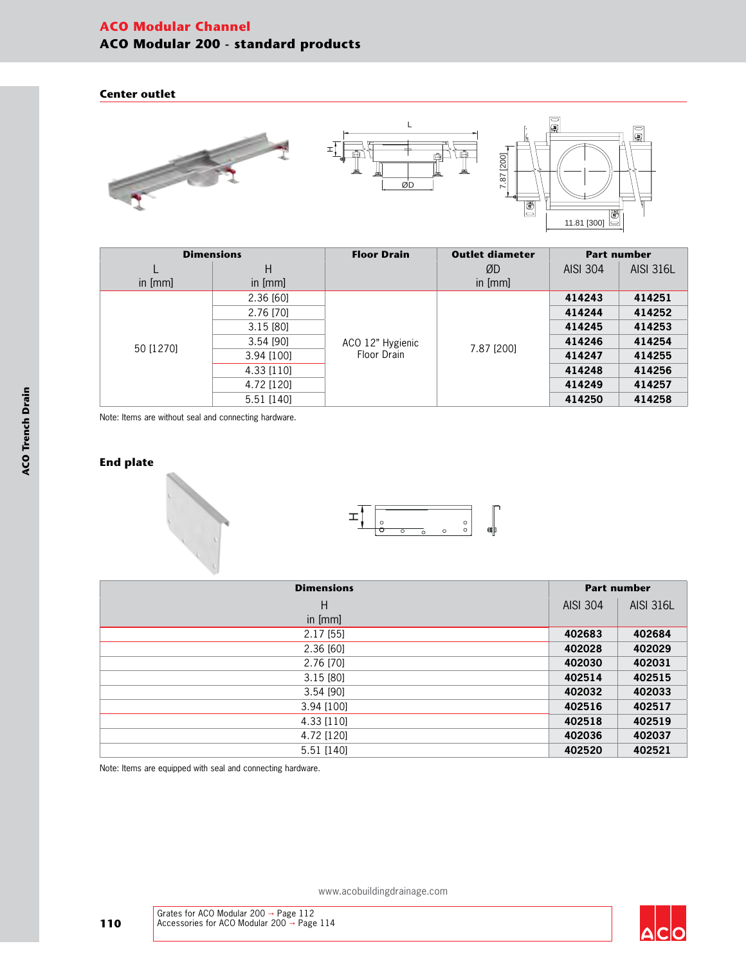# **ACO Modular Channel ACO Modular 200 - standard products**

#### **Center outlet**



| <b>Dimensions</b> |            | <b>Floor Drain</b>              | <b>Outlet diameter</b> |                 | <b>Part number</b> |
|-------------------|------------|---------------------------------|------------------------|-----------------|--------------------|
|                   | Н          |                                 | ØD                     | <b>AISI 304</b> | <b>AISI 316L</b>   |
| in [mm]           | in [mm]    |                                 | in [mm]                |                 |                    |
|                   | 2.36 [60]  |                                 |                        | 414243          | 414251             |
|                   | 2.76 [70]  | ACO 12" Hygienic<br>Floor Drain |                        | 414244          | 414252             |
|                   | 3.15 [80]  |                                 | 7.87 [200]             | 414245          | 414253             |
| 50 [1270]         | 3.54 [90]  |                                 |                        | 414246          | 414254             |
|                   | 3.94 [100] |                                 |                        | 414247          | 414255             |
|                   | 4.33 [110] |                                 |                        | 414248          | 414256             |
|                   | 4.72 [120] |                                 |                        | 414249          | 414257             |
|                   | 5.51 [140] |                                 |                        | 414250          | 414258             |

Note: Items are without seal and connecting hardware.

## **End plate**





| <b>Dimensions</b> |                 | <b>Part number</b> |  |
|-------------------|-----------------|--------------------|--|
| H                 | <b>AISI 304</b> | <b>AISI 316L</b>   |  |
| in [mm]           |                 |                    |  |
| $2.17$ [55]       | 402683          | 402684             |  |
| 2.36 [60]         | 402028          | 402029             |  |
| 2.76 [70]         | 402030          | 402031             |  |
| 3.15[80]          | 402514          | 402515             |  |
| 3.54 [90]         | 402032          | 402033             |  |
| 3.94 [100]        | 402516          | 402517             |  |
| 4.33 [110]        | 402518          | 402519             |  |
| 4.72 [120]        | 402036          | 402037             |  |
| 5.51 [140]        | 402520          | 402521             |  |

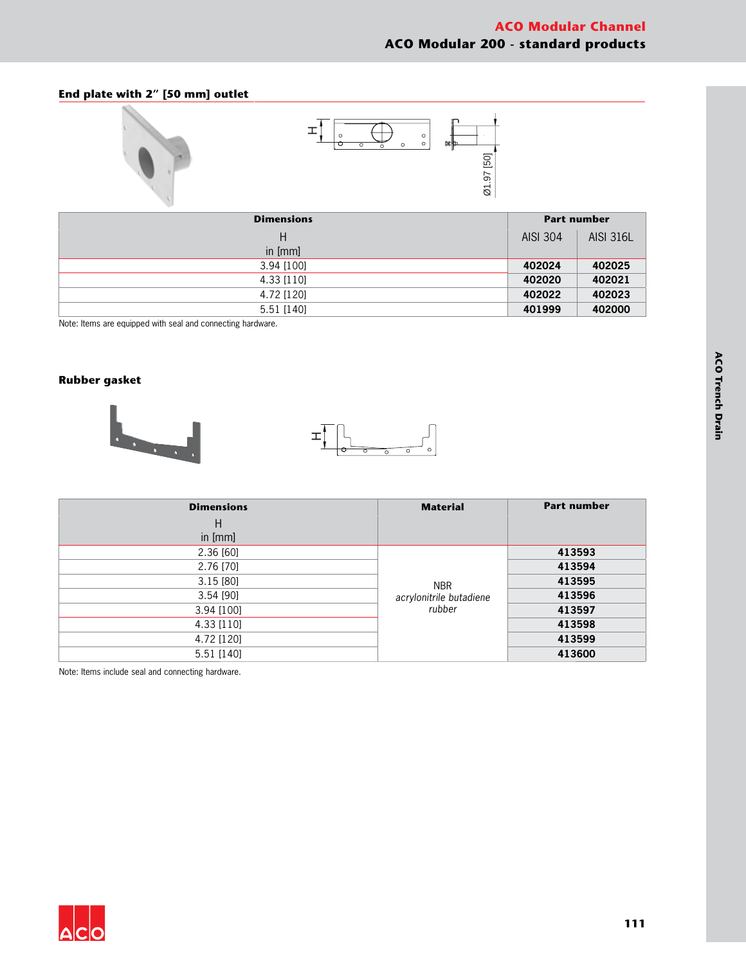## **End plate with 2" [50 mm] outlet**



| <b>Dimensions</b> |          | <b>Part number</b> |  |
|-------------------|----------|--------------------|--|
| H                 | AISI 304 | <b>AISI 316L</b>   |  |
| in [mm]           |          |                    |  |
| 3.94 [100]        | 402024   | 402025             |  |
| 4.33 [110]        | 402020   | 402021             |  |
| 4.72 [120]        | 402022   | 402023             |  |
| 5.51 [140]        | 401999   | 402000             |  |

Note: Items are equipped with seal and connecting hardware.

#### **Rubber gasket**





| <b>Dimensions</b> | <b>Material</b>                                 | <b>Part number</b> |
|-------------------|-------------------------------------------------|--------------------|
| $\mathsf{H}$      |                                                 |                    |
| in [mm]           |                                                 |                    |
| 2.36 [60]         |                                                 | 413593             |
| 2.76 [70]         |                                                 | 413594             |
| 3.15[80]          | <b>NBR</b><br>acrylonitrile butadiene<br>rubber | 413595             |
| $3.54$ [90]       |                                                 | 413596             |
| 3.94 [100]        |                                                 | 413597             |
| 4.33 [110]        |                                                 | 413598             |
| 4.72 [120]        |                                                 | 413599             |
| 5.51 [140]        |                                                 | 413600             |

Note: Items include seal and connecting hardware.

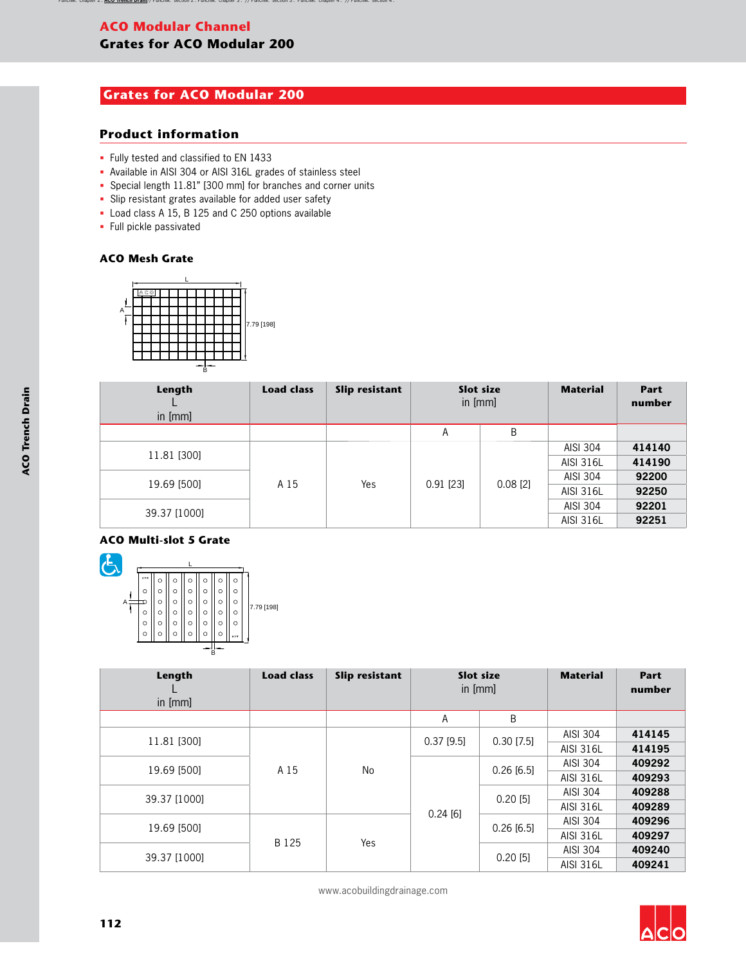# **ACO Modular Channel**

# **Grates for ACO Modular 200**

# **Grates for ACO Modular 200**

## **Product information**

- § Fully tested and classified to EN 1433
- § Available in AISI 304 or AISI 316L grades of stainless steel
- § Special length 11.81" [300 mm] for branches and corner units
- Slip resistant grates available for added user safety
- § Load class A 15, B 125 and C 250 options available
- § Full pickle passivated

### **ACO Mesh Grate**



| Length<br>in [mm] | <b>Load class</b>                                  | Slip resistant | Slot size<br>in [mm] |             | <b>Material</b>  | Part<br>number |       |
|-------------------|----------------------------------------------------|----------------|----------------------|-------------|------------------|----------------|-------|
|                   |                                                    |                | A                    | B           |                  |                |       |
|                   | 11.81 [300]<br>19.69 [500]<br>A 15<br>39.37 [1000] |                |                      |             | <b>AISI 304</b>  | 414140         |       |
|                   |                                                    |                |                      |             | <b>AISI 316L</b> | 414190         |       |
|                   |                                                    |                | Yes                  | $0.91$ [23] | $0.08$ [2]       | AISI 304       | 92200 |
|                   |                                                    |                |                      |             | <b>AISI 316L</b> | 92250          |       |
|                   |                                                    |                |                      |             | AISI 304         | 92201          |       |
|                   |                                                    |                |                      |             | <b>AISI 316L</b> | 92251          |       |

#### **ACO Multi-slot 5 Grate**



| Length<br>in $[mm]$  | <b>Load class</b> | <b>Slip resistant</b> | <b>Slot size</b><br>in [mm] |              | <b>Material</b>  | Part<br>number |
|----------------------|-------------------|-----------------------|-----------------------------|--------------|------------------|----------------|
|                      |                   |                       | Α                           | B            |                  |                |
| 11.81 [300]          |                   | No                    | $0.37$ [9.5]                | $0.30$ [7.5] | AISI 304         | 414145         |
|                      |                   |                       |                             |              | <b>AISI 316L</b> | 414195         |
| 19.69 [500]          | A 15              |                       |                             | $0.26$ [6.5] | AISI 304         | 409292         |
|                      |                   |                       | 0.24[6]                     |              | <b>AISI 316L</b> | 409293         |
| 39.37 [1000]         |                   |                       |                             | $0.20$ [5]   | AISI 304         | 409288         |
|                      |                   |                       |                             |              | AISI 316L        | 409289         |
| 19.69 [500]<br>B 125 |                   |                       | $0.26$ [6.5]                | AISI 304     | 409296           |                |
|                      |                   |                       |                             |              | <b>AISI 316L</b> | 409297         |
|                      | Yes               |                       |                             | AISI 304     | 409240           |                |
| 39.37 [1000]         |                   |                       |                             | $0.20$ [5]   | <b>AISI 316L</b> | 409241         |

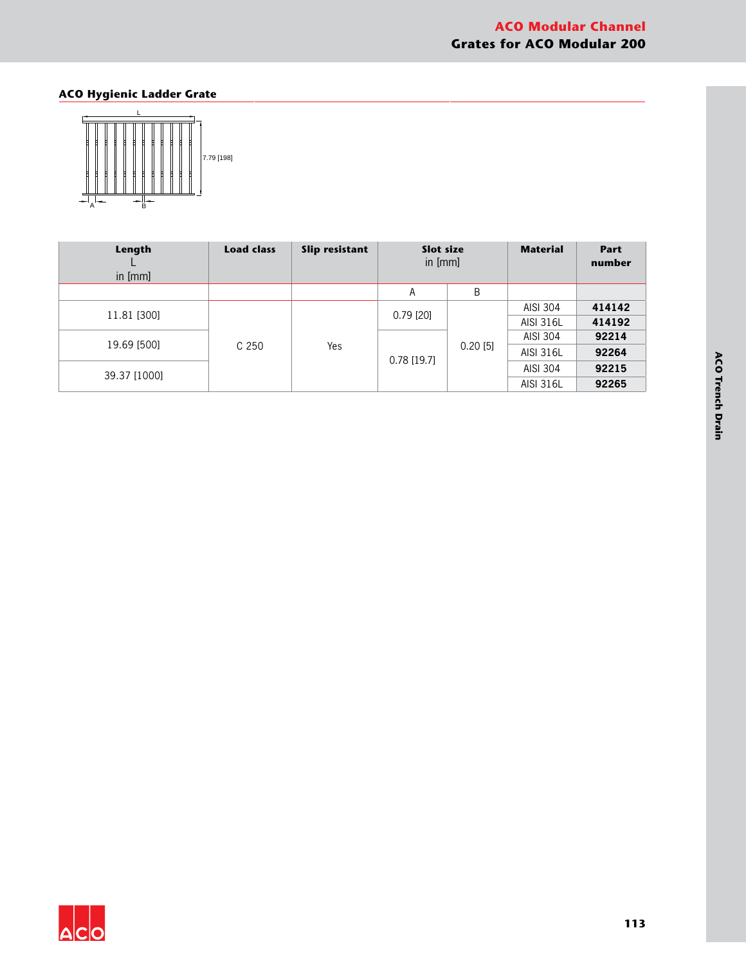# **ACO Hygienic Ladder Grate**



| Length<br>in [mm] | <b>Load class</b> | <b>Slip resistant</b> | Slot size<br>in $[mm]$ |                  | <b>Material</b>  | <b>Part</b><br>number |
|-------------------|-------------------|-----------------------|------------------------|------------------|------------------|-----------------------|
|                   |                   |                       | А                      | Β                |                  |                       |
|                   |                   | Yes                   | $0.79$ [20]            | $0.20$ [5]       | AISI 304         | 414142                |
| 11.81 [300]       |                   |                       |                        |                  | <b>AISI 316L</b> | 414192                |
| 19.69 [500]       |                   |                       |                        |                  | AISI 304         | 92214                 |
|                   | C <sub>250</sub>  |                       |                        |                  | <b>AISI 316L</b> | 92264                 |
| 39.37 [1000]      |                   | $0.78$ [19.7]         |                        | AISI 304         | 92215            |                       |
|                   |                   |                       |                        | <b>AISI 316L</b> | 92265            |                       |



**113**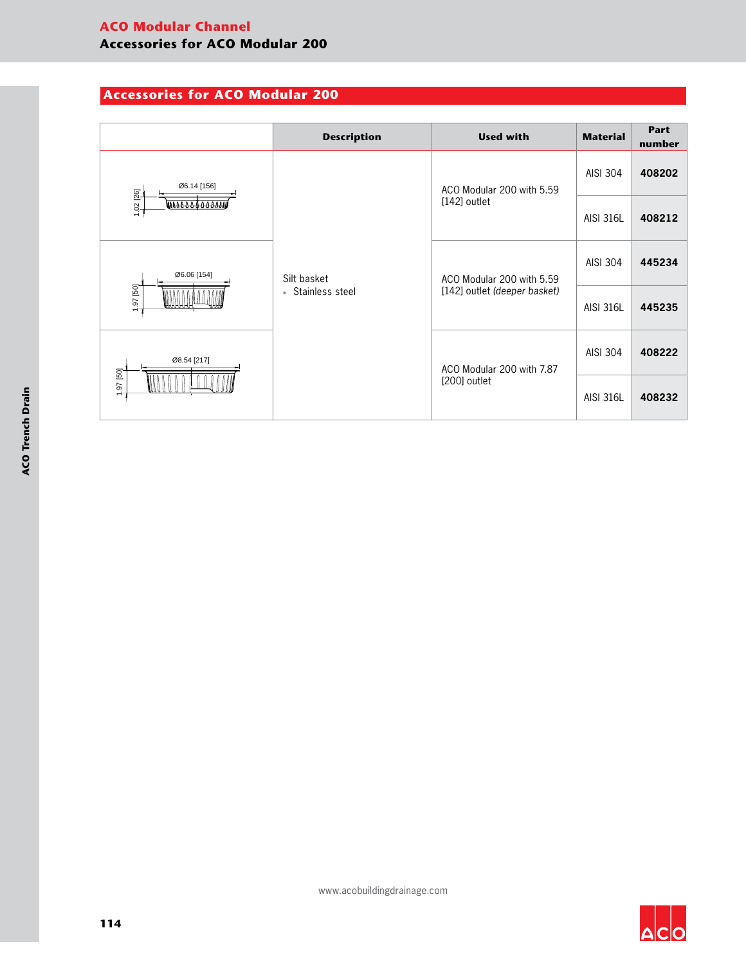# **Accessories for ACO Modular 200**

|                                                                                                         | <b>Description</b>               | <b>Used with</b>             | <b>Material</b>  | Part<br>number |
|---------------------------------------------------------------------------------------------------------|----------------------------------|------------------------------|------------------|----------------|
| Ø6.14 [156]<br>1.02 [26]<br><u>www.saaraann</u><br>Ø6.06 [154]<br>1.97 [50]<br>Ø8.54 [217]<br>1.97 [50] | Silt basket<br>■ Stainless steel | ACO Modular 200 with 5.59    | AISI 304         | 408202         |
|                                                                                                         |                                  | $[142]$ outlet               | <b>AISI 316L</b> | 408212         |
|                                                                                                         |                                  | ACO Modular 200 with 5.59    | AISI 304         | 445234         |
|                                                                                                         |                                  | [142] outlet (deeper basket) | <b>AISI 316L</b> | 445235         |
|                                                                                                         |                                  | ACO Modular 200 with 7.87    | AISI 304         | 408222         |
|                                                                                                         |                                  | [200] outlet                 | <b>AISI 316L</b> | 408232         |